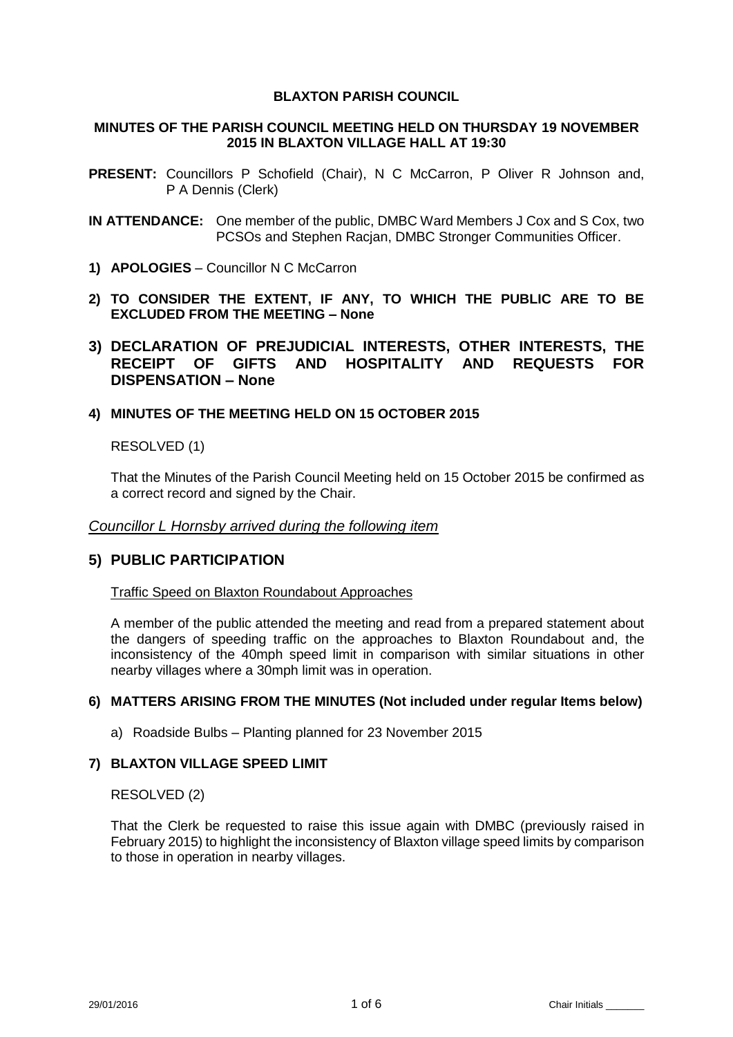## **BLAXTON PARISH COUNCIL**

## **MINUTES OF THE PARISH COUNCIL MEETING HELD ON THURSDAY 19 NOVEMBER 2015 IN BLAXTON VILLAGE HALL AT 19:30**

- **PRESENT:** Councillors P Schofield (Chair), N C McCarron, P Oliver R Johnson and, P A Dennis (Clerk)
- **IN ATTENDANCE:** One member of the public, DMBC Ward Members J Cox and S Cox, two PCSOs and Stephen Racjan, DMBC Stronger Communities Officer.
- **1) APOLOGIES** Councillor N C McCarron
- **2) TO CONSIDER THE EXTENT, IF ANY, TO WHICH THE PUBLIC ARE TO BE EXCLUDED FROM THE MEETING – None**
- **3) DECLARATION OF PREJUDICIAL INTERESTS, OTHER INTERESTS, THE RECEIPT OF GIFTS AND HOSPITALITY AND REQUESTS FOR DISPENSATION – None**

# **4) MINUTES OF THE MEETING HELD ON 15 OCTOBER 2015**

RESOLVED (1)

That the Minutes of the Parish Council Meeting held on 15 October 2015 be confirmed as a correct record and signed by the Chair.

### *Councillor L Hornsby arrived during the following item*

# **5) PUBLIC PARTICIPATION**

### Traffic Speed on Blaxton Roundabout Approaches

A member of the public attended the meeting and read from a prepared statement about the dangers of speeding traffic on the approaches to Blaxton Roundabout and, the inconsistency of the 40mph speed limit in comparison with similar situations in other nearby villages where a 30mph limit was in operation.

### **6) MATTERS ARISING FROM THE MINUTES (Not included under regular Items below)**

a) Roadside Bulbs – Planting planned for 23 November 2015

# **7) BLAXTON VILLAGE SPEED LIMIT**

### RESOLVED (2)

That the Clerk be requested to raise this issue again with DMBC (previously raised in February 2015) to highlight the inconsistency of Blaxton village speed limits by comparison to those in operation in nearby villages.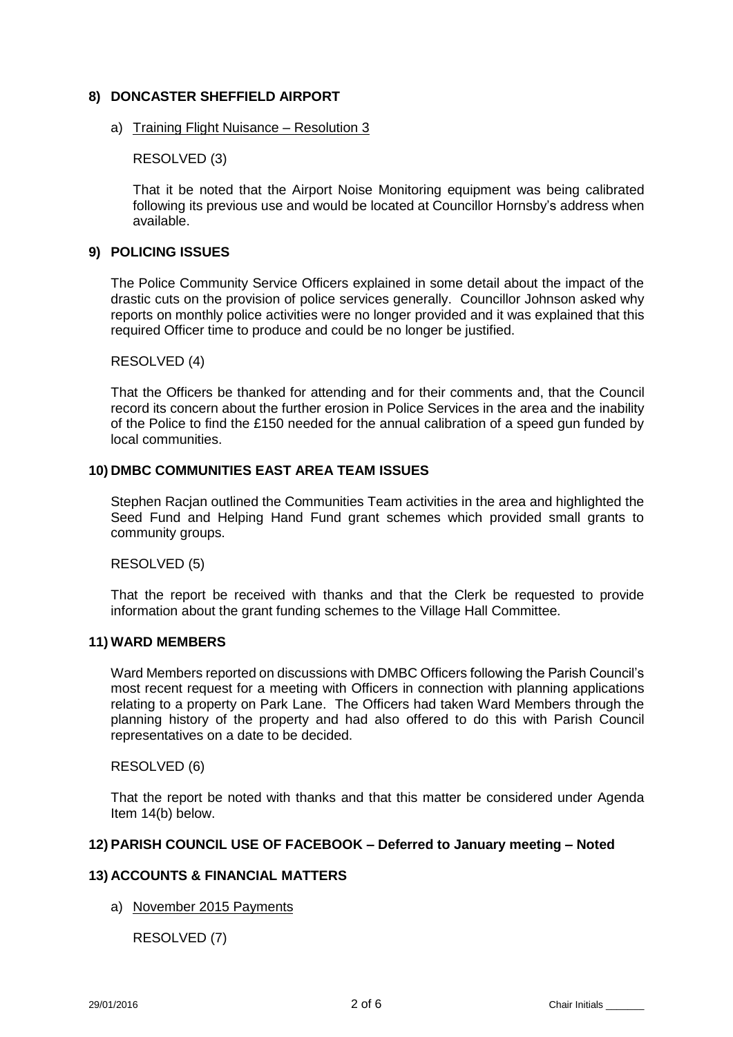## **8) DONCASTER SHEFFIELD AIRPORT**

### a) Training Flight Nuisance – Resolution 3

RESOLVED (3)

That it be noted that the Airport Noise Monitoring equipment was being calibrated following its previous use and would be located at Councillor Hornsby's address when available.

# **9) POLICING ISSUES**

The Police Community Service Officers explained in some detail about the impact of the drastic cuts on the provision of police services generally. Councillor Johnson asked why reports on monthly police activities were no longer provided and it was explained that this required Officer time to produce and could be no longer be justified.

RESOLVED (4)

That the Officers be thanked for attending and for their comments and, that the Council record its concern about the further erosion in Police Services in the area and the inability of the Police to find the £150 needed for the annual calibration of a speed gun funded by local communities.

## **10) DMBC COMMUNITIES EAST AREA TEAM ISSUES**

Stephen Racjan outlined the Communities Team activities in the area and highlighted the Seed Fund and Helping Hand Fund grant schemes which provided small grants to community groups.

### RESOLVED (5)

That the report be received with thanks and that the Clerk be requested to provide information about the grant funding schemes to the Village Hall Committee.

## **11) WARD MEMBERS**

Ward Members reported on discussions with DMBC Officers following the Parish Council's most recent request for a meeting with Officers in connection with planning applications relating to a property on Park Lane. The Officers had taken Ward Members through the planning history of the property and had also offered to do this with Parish Council representatives on a date to be decided.

### RESOLVED (6)

That the report be noted with thanks and that this matter be considered under Agenda Item 14(b) below.

### **12) PARISH COUNCIL USE OF FACEBOOK – Deferred to January meeting – Noted**

## **13) ACCOUNTS & FINANCIAL MATTERS**

a) November 2015 Payments

RESOLVED (7)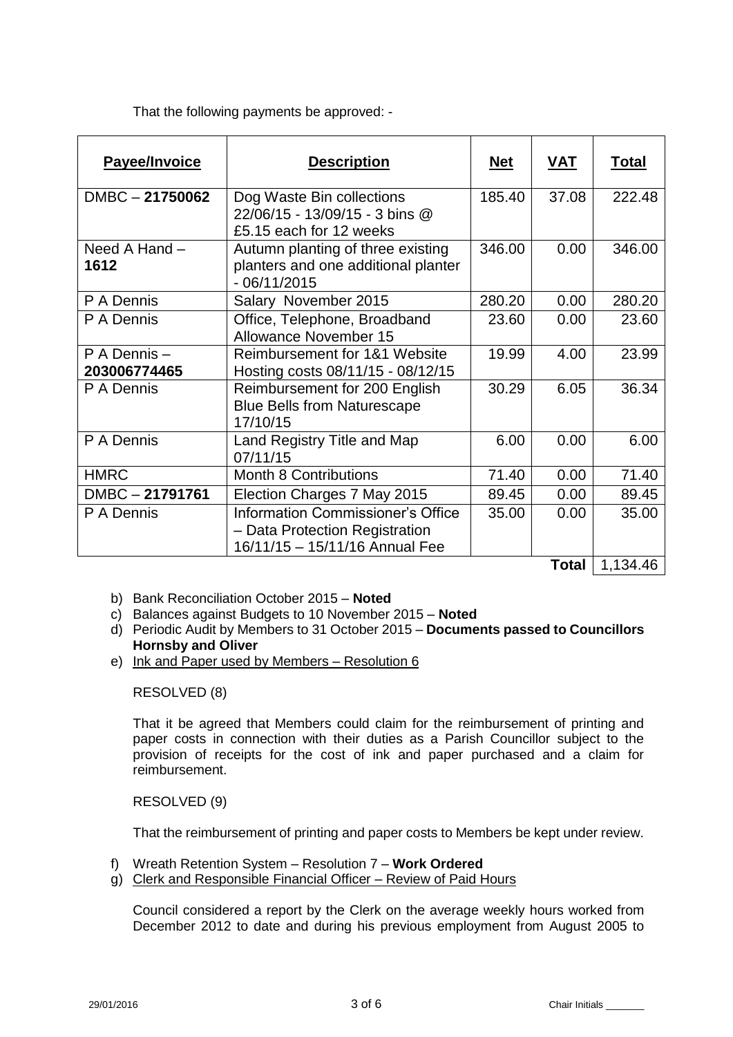That the following payments be approved: -

| <b>Payee/Invoice</b>        | <b>Description</b>                                                                                           | <u>Net</u> | <u>VAT</u>   | <b>Total</b> |
|-----------------------------|--------------------------------------------------------------------------------------------------------------|------------|--------------|--------------|
| $DMBC - 21750062$           | Dog Waste Bin collections<br>22/06/15 - 13/09/15 - 3 bins @<br>£5.15 each for 12 weeks                       | 185.40     | 37.08        | 222.48       |
| Need A Hand -<br>1612       | Autumn planting of three existing<br>planters and one additional planter<br>$-06/11/2015$                    | 346.00     | 0.00         | 346.00       |
| P A Dennis                  | Salary November 2015                                                                                         | 280.20     | 0.00         | 280.20       |
| P A Dennis                  | Office, Telephone, Broadband<br><b>Allowance November 15</b>                                                 | 23.60      | 0.00         | 23.60        |
| P A Dennis-<br>203006774465 | Reimbursement for 1&1 Website<br>Hosting costs 08/11/15 - 08/12/15                                           | 19.99      | 4.00         | 23.99        |
| P A Dennis                  | Reimbursement for 200 English<br><b>Blue Bells from Naturescape</b><br>17/10/15                              | 30.29      | 6.05         | 36.34        |
| P A Dennis                  | Land Registry Title and Map<br>07/11/15                                                                      | 6.00       | 0.00         | 6.00         |
| <b>HMRC</b>                 | <b>Month 8 Contributions</b>                                                                                 | 71.40      | 0.00         | 71.40        |
| DMBC-21791761               | Election Charges 7 May 2015                                                                                  | 89.45      | 0.00         | 89.45        |
| P A Dennis                  | <b>Information Commissioner's Office</b><br>- Data Protection Registration<br>16/11/15 - 15/11/16 Annual Fee | 35.00      | 0.00         | 35.00        |
|                             |                                                                                                              |            | <b>Total</b> | 1,134.46     |

b) Bank Reconciliation October 2015 – **Noted**

- c) Balances against Budgets to 10 November 2015 **Noted**
- d) Periodic Audit by Members to 31 October 2015 **Documents passed to Councillors Hornsby and Oliver**
- e) Ink and Paper used by Members Resolution 6

RESOLVED (8)

That it be agreed that Members could claim for the reimbursement of printing and paper costs in connection with their duties as a Parish Councillor subject to the provision of receipts for the cost of ink and paper purchased and a claim for reimbursement.

RESOLVED (9)

That the reimbursement of printing and paper costs to Members be kept under review.

- f) Wreath Retention System Resolution 7 **Work Ordered**
- g) Clerk and Responsible Financial Officer Review of Paid Hours

Council considered a report by the Clerk on the average weekly hours worked from December 2012 to date and during his previous employment from August 2005 to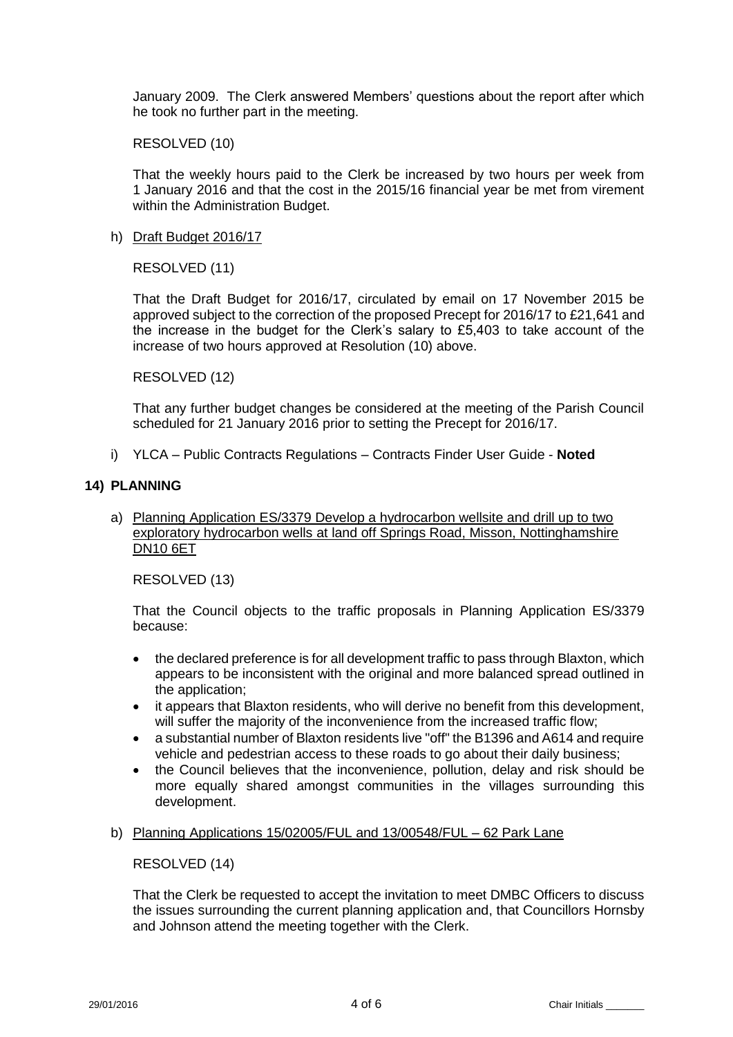January 2009. The Clerk answered Members' questions about the report after which he took no further part in the meeting.

### RESOLVED (10)

That the weekly hours paid to the Clerk be increased by two hours per week from 1 January 2016 and that the cost in the 2015/16 financial year be met from virement within the Administration Budget.

## h) Draft Budget 2016/17

RESOLVED (11)

That the Draft Budget for 2016/17, circulated by email on 17 November 2015 be approved subject to the correction of the proposed Precept for 2016/17 to £21,641 and the increase in the budget for the Clerk's salary to £5,403 to take account of the increase of two hours approved at Resolution (10) above.

## RESOLVED (12)

That any further budget changes be considered at the meeting of the Parish Council scheduled for 21 January 2016 prior to setting the Precept for 2016/17.

i) YLCA – Public Contracts Regulations – Contracts Finder User Guide - **Noted**

## **14) PLANNING**

a) Planning Application ES/3379 Develop a hydrocarbon wellsite and drill up to two exploratory hydrocarbon wells at land off Springs Road, Misson, Nottinghamshire DN10 6ET

RESOLVED (13)

That the Council objects to the traffic proposals in Planning Application ES/3379 because:

- the declared preference is for all development traffic to pass through Blaxton, which appears to be inconsistent with the original and more balanced spread outlined in the application;
- it appears that Blaxton residents, who will derive no benefit from this development, will suffer the majority of the inconvenience from the increased traffic flow;
- a substantial number of Blaxton residents live "off" the B1396 and A614 and require vehicle and pedestrian access to these roads to go about their daily business;
- the Council believes that the inconvenience, pollution, delay and risk should be more equally shared amongst communities in the villages surrounding this development.

### b) Planning Applications 15/02005/FUL and 13/00548/FUL – 62 Park Lane

RESOLVED (14)

That the Clerk be requested to accept the invitation to meet DMBC Officers to discuss the issues surrounding the current planning application and, that Councillors Hornsby and Johnson attend the meeting together with the Clerk.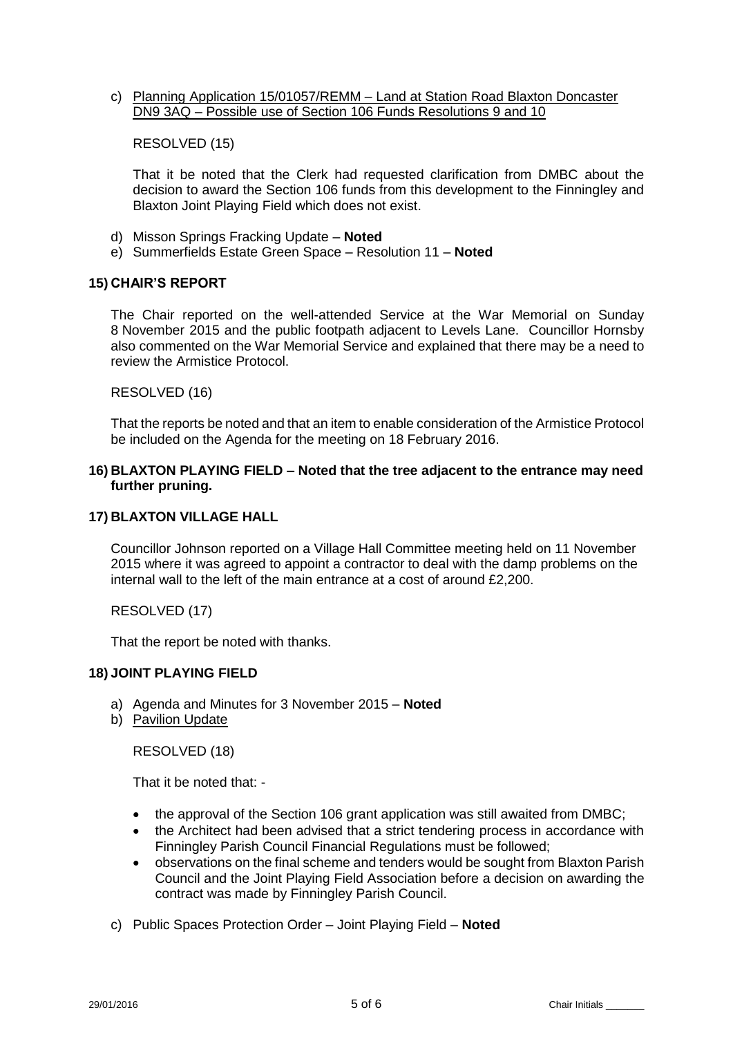c) Planning Application 15/01057/REMM – Land at Station Road Blaxton Doncaster DN9 3AQ – Possible use of Section 106 Funds Resolutions 9 and 10

## RESOLVED (15)

That it be noted that the Clerk had requested clarification from DMBC about the decision to award the Section 106 funds from this development to the Finningley and Blaxton Joint Playing Field which does not exist.

- d) Misson Springs Fracking Update **Noted**
- e) Summerfields Estate Green Space Resolution 11 **Noted**

## **15) CHAIR'S REPORT**

The Chair reported on the well-attended Service at the War Memorial on Sunday 8 November 2015 and the public footpath adjacent to Levels Lane. Councillor Hornsby also commented on the War Memorial Service and explained that there may be a need to review the Armistice Protocol.

## RESOLVED (16)

That the reports be noted and that an item to enable consideration of the Armistice Protocol be included on the Agenda for the meeting on 18 February 2016.

## **16) BLAXTON PLAYING FIELD – Noted that the tree adjacent to the entrance may need further pruning.**

## **17) BLAXTON VILLAGE HALL**

Councillor Johnson reported on a Village Hall Committee meeting held on 11 November 2015 where it was agreed to appoint a contractor to deal with the damp problems on the internal wall to the left of the main entrance at a cost of around £2,200.

# RESOLVED (17)

That the report be noted with thanks.

# **18) JOINT PLAYING FIELD**

- a) Agenda and Minutes for 3 November 2015 **Noted**
- b) Pavilion Update

RESOLVED (18)

That it be noted that: -

- the approval of the Section 106 grant application was still awaited from DMBC;
- the Architect had been advised that a strict tendering process in accordance with Finningley Parish Council Financial Regulations must be followed;
- observations on the final scheme and tenders would be sought from Blaxton Parish Council and the Joint Playing Field Association before a decision on awarding the contract was made by Finningley Parish Council.
- c) Public Spaces Protection Order Joint Playing Field **Noted**